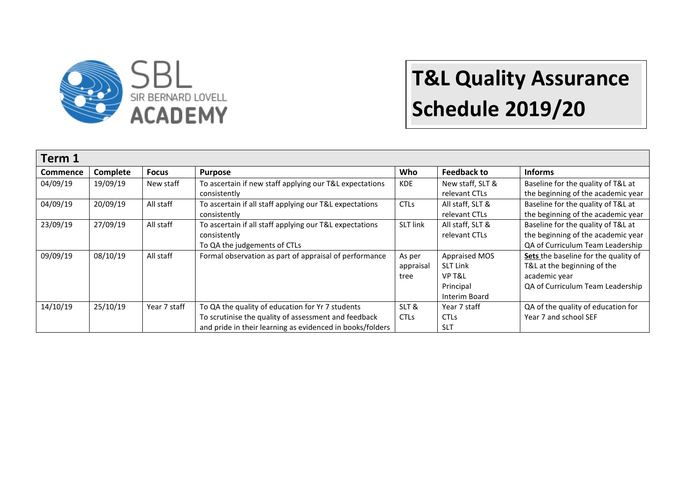

| Term 1          |          |              |                                                                                                                                                                       |                                 |                                                                          |                                                                                                                          |  |
|-----------------|----------|--------------|-----------------------------------------------------------------------------------------------------------------------------------------------------------------------|---------------------------------|--------------------------------------------------------------------------|--------------------------------------------------------------------------------------------------------------------------|--|
| <b>Commence</b> | Complete | <b>Focus</b> | <b>Purpose</b>                                                                                                                                                        | Who                             | <b>Feedback to</b>                                                       | <b>Informs</b>                                                                                                           |  |
| 04/09/19        | 19/09/19 | New staff    | To ascertain if new staff applying our T&L expectations<br>consistently                                                                                               | <b>KDE</b>                      | New staff, SLT &<br>relevant CTLs                                        | Baseline for the quality of T&L at<br>the beginning of the academic year                                                 |  |
| 04/09/19        | 20/09/19 | All staff    | To ascertain if all staff applying our T&L expectations<br>consistently                                                                                               | <b>CTLs</b>                     | All staff, SLT &<br>relevant CTLs                                        | Baseline for the quality of T&L at<br>the beginning of the academic year                                                 |  |
| 23/09/19        | 27/09/19 | All staff    | To ascertain if all staff applying our T&L expectations<br>consistently<br>To QA the judgements of CTLs                                                               | <b>SLT link</b>                 | All staff, SLT &<br>relevant CTLs                                        | Baseline for the quality of T&L at<br>the beginning of the academic year<br>QA of Curriculum Team Leadership             |  |
| 09/09/19        | 08/10/19 | All staff    | Formal observation as part of appraisal of performance                                                                                                                | As per<br>appraisal<br>tree     | Appraised MOS<br><b>SLT Link</b><br>VP T&L<br>Principal<br>Interim Board | Sets the baseline for the quality of<br>T&L at the beginning of the<br>academic year<br>QA of Curriculum Team Leadership |  |
| 14/10/19        | 25/10/19 | Year 7 staff | To QA the quality of education for Yr 7 students<br>To scrutinise the quality of assessment and feedback<br>and pride in their learning as evidenced in books/folders | SLT &<br><b>CTL<sub>S</sub></b> | Year 7 staff<br><b>CTLs</b><br><b>SLT</b>                                | QA of the quality of education for<br>Year 7 and school SEF                                                              |  |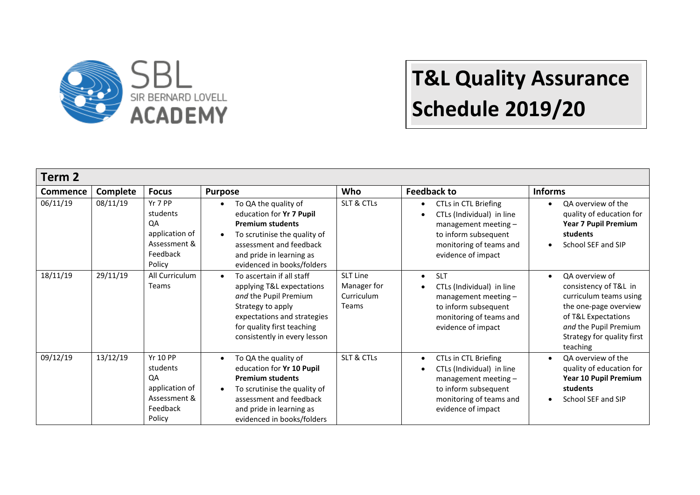

| Term 2          |          |                                                                                           |                                                                                                                                                                                                                |                                                       |                                                                                                                                                                   |                                                                                                                                                                                                   |  |
|-----------------|----------|-------------------------------------------------------------------------------------------|----------------------------------------------------------------------------------------------------------------------------------------------------------------------------------------------------------------|-------------------------------------------------------|-------------------------------------------------------------------------------------------------------------------------------------------------------------------|---------------------------------------------------------------------------------------------------------------------------------------------------------------------------------------------------|--|
| <b>Commence</b> | Complete | <b>Focus</b>                                                                              | <b>Purpose</b>                                                                                                                                                                                                 | Who                                                   | <b>Feedback to</b>                                                                                                                                                | <b>Informs</b>                                                                                                                                                                                    |  |
| 06/11/19        | 08/11/19 | Yr 7 PP<br>students<br>QA<br>application of<br>Assessment &<br>Feedback<br>Policy         | To QA the quality of<br>education for Yr 7 Pupil<br><b>Premium students</b><br>To scrutinise the quality of<br>assessment and feedback<br>and pride in learning as<br>evidenced in books/folders               | SLT & CTLs                                            | CTLs in CTL Briefing<br>$\bullet$<br>CTLs (Individual) in line<br>management meeting $-$<br>to inform subsequent<br>monitoring of teams and<br>evidence of impact | QA overview of the<br>$\bullet$<br>quality of education for<br><b>Year 7 Pupil Premium</b><br>students<br>School SEF and SIP<br>$\bullet$                                                         |  |
| 18/11/19        | 29/11/19 | All Curriculum<br><b>Teams</b>                                                            | To ascertain if all staff<br>applying T&L expectations<br>and the Pupil Premium<br>Strategy to apply<br>expectations and strategies<br>for quality first teaching<br>consistently in every lesson              | <b>SLT Line</b><br>Manager for<br>Curriculum<br>Teams | <b>SLT</b><br>$\bullet$<br>CTLs (Individual) in line<br>management meeting -<br>to inform subsequent<br>monitoring of teams and<br>evidence of impact             | QA overview of<br>$\bullet$<br>consistency of T&L in<br>curriculum teams using<br>the one-page overview<br>of T&L Expectations<br>and the Pupil Premium<br>Strategy for quality first<br>teaching |  |
| 09/12/19        | 13/12/19 | <b>Yr 10 PP</b><br>students<br>QA<br>application of<br>Assessment &<br>Feedback<br>Policy | To QA the quality of<br>education for Yr 10 Pupil<br><b>Premium students</b><br>To scrutinise the quality of<br>$\bullet$<br>assessment and feedback<br>and pride in learning as<br>evidenced in books/folders | SLT & CTLs                                            | CTLs in CTL Briefing<br>CTLs (Individual) in line<br>management meeting -<br>to inform subsequent<br>monitoring of teams and<br>evidence of impact                | QA overview of the<br>$\bullet$<br>quality of education for<br>Year 10 Pupil Premium<br>students<br>School SEF and SIP<br>$\bullet$                                                               |  |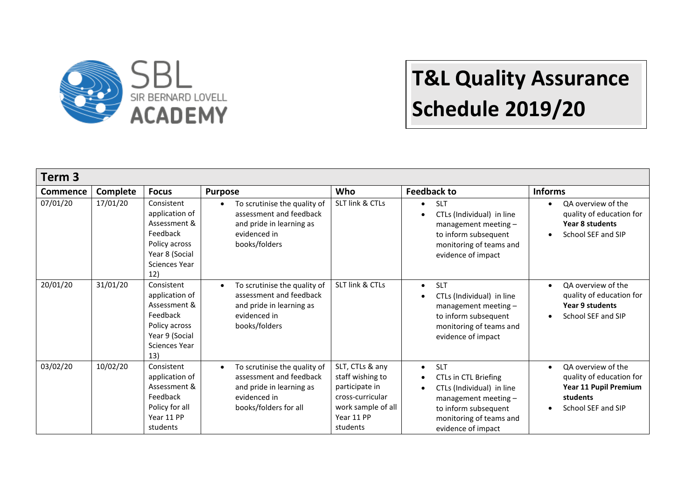

| Term 3          |          |                                                                                                                     |                                                                                                                                           |                                                                                                                           |                                                                                                                                                                                              |                                                                                                                                     |  |
|-----------------|----------|---------------------------------------------------------------------------------------------------------------------|-------------------------------------------------------------------------------------------------------------------------------------------|---------------------------------------------------------------------------------------------------------------------------|----------------------------------------------------------------------------------------------------------------------------------------------------------------------------------------------|-------------------------------------------------------------------------------------------------------------------------------------|--|
| <b>Commence</b> | Complete | <b>Focus</b>                                                                                                        | <b>Purpose</b>                                                                                                                            | <b>Who</b>                                                                                                                | <b>Feedback to</b>                                                                                                                                                                           | <b>Informs</b>                                                                                                                      |  |
| 07/01/20        | 17/01/20 | Consistent<br>application of<br>Assessment &<br>Feedback<br>Policy across<br>Year 8 (Social<br>Sciences Year<br>12) | To scrutinise the quality of<br>$\bullet$<br>assessment and feedback<br>and pride in learning as<br>evidenced in<br>books/folders         | SLT link & CTLs                                                                                                           | <b>SLT</b><br>$\bullet$<br>CTLs (Individual) in line<br>management meeting -<br>to inform subsequent<br>monitoring of teams and<br>evidence of impact                                        | QA overview of the<br>$\bullet$<br>quality of education for<br>Year 8 students<br>School SEF and SIP<br>$\bullet$                   |  |
| 20/01/20        | 31/01/20 | Consistent<br>application of<br>Assessment &<br>Feedback<br>Policy across<br>Year 9 (Social<br>Sciences Year<br>13) | To scrutinise the quality of<br>$\bullet$<br>assessment and feedback<br>and pride in learning as<br>evidenced in<br>books/folders         | SLT link & CTLs                                                                                                           | <b>SLT</b><br>$\bullet$<br>CTLs (Individual) in line<br>management meeting -<br>to inform subsequent<br>monitoring of teams and<br>evidence of impact                                        | QA overview of the<br>$\bullet$<br>quality of education for<br>Year 9 students<br>School SEF and SIP<br>$\bullet$                   |  |
| 03/02/20        | 10/02/20 | Consistent<br>application of<br>Assessment &<br>Feedback<br>Policy for all<br>Year 11 PP<br>students                | To scrutinise the quality of<br>$\bullet$<br>assessment and feedback<br>and pride in learning as<br>evidenced in<br>books/folders for all | SLT, CTLs & any<br>staff wishing to<br>participate in<br>cross-curricular<br>work sample of all<br>Year 11 PP<br>students | <b>SLT</b><br>$\bullet$<br>CTLs in CTL Briefing<br>$\bullet$<br>CTLs (Individual) in line<br>management meeting $-$<br>to inform subsequent<br>monitoring of teams and<br>evidence of impact | QA overview of the<br>$\bullet$<br>quality of education for<br>Year 11 Pupil Premium<br>students<br>School SEF and SIP<br>$\bullet$ |  |